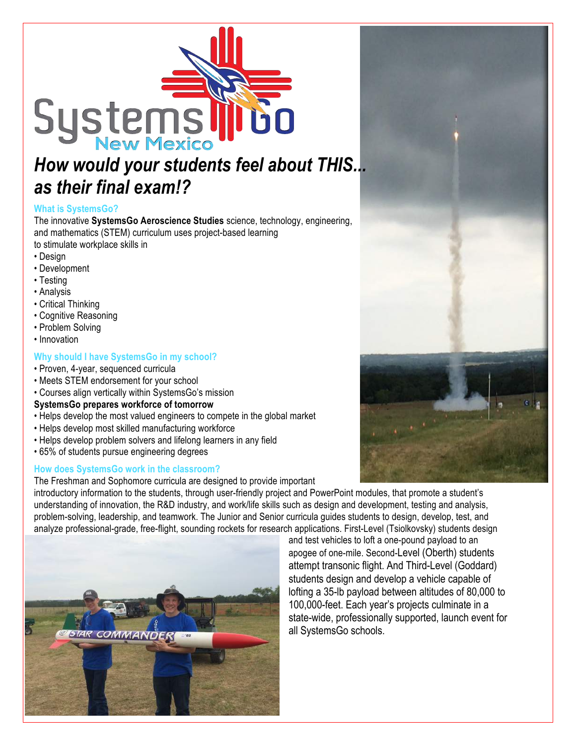

# *as their final exam!?*

# **What is SystemsGo?**

The innovative **SystemsGo Aeroscience Studies** science, technology, engineering, and mathematics (STEM) curriculum uses project-based learning to stimulate workplace skills in

- Design
- Development
- Testing
- Analysis
- Critical Thinking
- Cognitive Reasoning
- Problem Solving
- Innovation

# **Why should I have SystemsGo in my school?**

- Proven, 4-year, sequenced curricula
- Meets STEM endorsement for your school
- Courses align vertically within SystemsGo's mission

## **SystemsGo prepares workforce of tomorrow**

- Helps develop the most valued engineers to compete in the global market
- Helps develop most skilled manufacturing workforce
- Helps develop problem solvers and lifelong learners in any field
- 65% of students pursue engineering degrees

## **How does SystemsGo work in the classroom?**

The Freshman and Sophomore curricula are designed to provide important

introductory information to the students, through user-friendly project and PowerPoint modules, that promote a student's understanding of innovation, the R&D industry, and work/life skills such as design and development, testing and analysis, problem-solving, leadership, and teamwork. The Junior and Senior curricula guides students to design, develop, test, and analyze professional-grade, free-flight, sounding rockets for research applications. First-Level (Tsiolkovsky) students design



and test vehicles to loft a one-pound payload to an apogee of one-mile. Second-Level (Oberth) students attempt transonic flight. And Third-Level (Goddard) students design and develop a vehicle capable of lofting a 35-lb payload between altitudes of 80,000 to 100,000-feet. Each year's projects culminate in a state-wide, professionally supported, launch event for all SystemsGo schools.